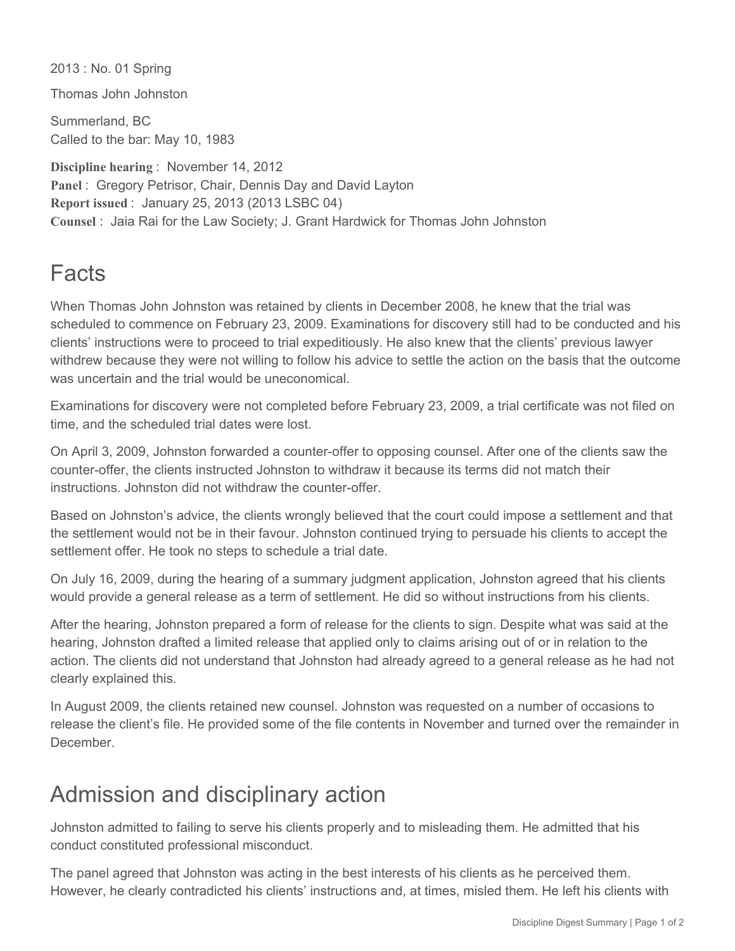2013 : No. 01 Spring

Thomas John Johnston

Summerland, BC Called to the bar: May 10, 1983

**Discipline hearing** : November 14, 2012 **Panel** : Gregory Petrisor, Chair, Dennis Day and David Layton **Report issued** : January 25, 2013 (2013 LSBC 04) **Counsel** : Jaia Rai for the Law Society; J. Grant Hardwick for Thomas John Johnston

## Facts

When Thomas John Johnston was retained by clients in December 2008, he knew that the trial was scheduled to commence on February 23, 2009. Examinations for discovery still had to be conducted and his clients' instructions were to proceed to trial expeditiously. He also knew that the clients' previous lawyer withdrew because they were not willing to follow his advice to settle the action on the basis that the outcome was uncertain and the trial would be uneconomical

Examinations for discovery were not completed before February 23, 2009, a trial certificate was not filed on time, and the scheduled trial dates were lost.

On April 3, 2009, Johnston forwarded a counter-offer to opposing counsel. After one of the clients saw the counter-offer, the clients instructed Johnston to withdraw it because its terms did not match their instructions. Johnston did not withdraw the counter-offer.

Based on Johnston's advice, the clients wrongly believed that the court could impose a settlement and that the settlement would not be in their favour. Johnston continued trying to persuade his clients to accept the settlement offer. He took no steps to schedule a trial date.

On July 16, 2009, during the hearing of a summary judgment application, Johnston agreed that his clients would provide a general release as a term of settlement. He did so without instructions from his clients.

After the hearing, Johnston prepared a form of release for the clients to sign. Despite what was said at the hearing, Johnston drafted a limited release that applied only to claims arising out of or in relation to the action. The clients did not understand that Johnston had already agreed to a general release as he had not clearly explained this.

In August 2009, the clients retained new counsel. Johnston was requested on a number of occasions to release the client's file. He provided some of the file contents in November and turned over the remainder in **December** 

## Admission and disciplinary action

Johnston admitted to failing to serve his clients properly and to misleading them. He admitted that his conduct constituted professional misconduct.

The panel agreed that Johnston was acting in the best interests of his clients as he perceived them. However, he clearly contradicted his clients' instructions and, at times, misled them. He left his clients with